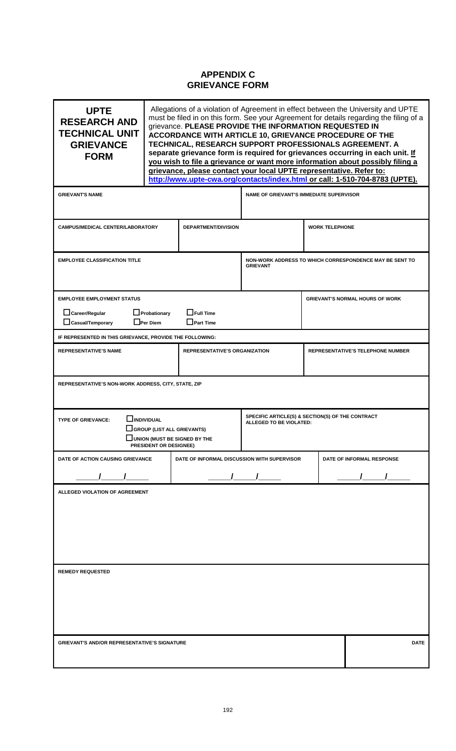## **APPENDIX C GRIEVANCE FORM**

| <b>UPTE</b><br><b>RESEARCH AND</b><br><b>TECHNICAL UNIT</b><br><b>GRIEVANCE</b><br><b>FORM</b>                                                                          | Allegations of a violation of Agreement in effect between the University and UPTE<br>must be filed in on this form. See your Agreement for details regarding the filing of a<br>grievance. PLEASE PROVIDE THE INFORMATION REQUESTED IN<br>ACCORDANCE WITH ARTICLE 10, GRIEVANCE PROCEDURE OF THE<br>TECHNICAL, RESEARCH SUPPORT PROFESSIONALS AGREEMENT. A<br>separate grievance form is required for grievances occurring in each unit. If<br>you wish to file a grievance or want more information about possibly filing a<br>grievance, please contact your local UPTE representative. Refer to:<br>http://www.upte-cwa.org/contacts/index.html or call: 1-510-704-8783 (UPTE). |                            |                                                                             |                           |                                        |             |
|-------------------------------------------------------------------------------------------------------------------------------------------------------------------------|------------------------------------------------------------------------------------------------------------------------------------------------------------------------------------------------------------------------------------------------------------------------------------------------------------------------------------------------------------------------------------------------------------------------------------------------------------------------------------------------------------------------------------------------------------------------------------------------------------------------------------------------------------------------------------|----------------------------|-----------------------------------------------------------------------------|---------------------------|----------------------------------------|-------------|
| <b>GRIEVANT'S NAME</b>                                                                                                                                                  |                                                                                                                                                                                                                                                                                                                                                                                                                                                                                                                                                                                                                                                                                    |                            | <b>NAME OF GRIEVANT'S IMMEDIATE SUPERVISOR</b>                              |                           |                                        |             |
| <b>CAMPUS/MEDICAL CENTER/LABORATORY</b>                                                                                                                                 |                                                                                                                                                                                                                                                                                                                                                                                                                                                                                                                                                                                                                                                                                    | <b>DEPARTMENT/DIVISION</b> |                                                                             |                           | <b>WORK TELEPHONE</b>                  |             |
| <b>EMPLOYEE CLASSIFICATION TITLE</b>                                                                                                                                    |                                                                                                                                                                                                                                                                                                                                                                                                                                                                                                                                                                                                                                                                                    |                            | NON-WORK ADDRESS TO WHICH CORRESPONDENCE MAY BE SENT TO<br><b>GRIEVANT</b>  |                           |                                        |             |
| <b>EMPLOYEE EMPLOYMENT STATUS</b><br>$\Box$ Career/Regular<br>$\Box$ Probationary<br>$\Box$ Full Time<br>$\Box$ Casual/Temporary<br>$\Box$ Per Diem<br>$\Box$ Part Time |                                                                                                                                                                                                                                                                                                                                                                                                                                                                                                                                                                                                                                                                                    |                            |                                                                             |                           | <b>GRIEVANT'S NORMAL HOURS OF WORK</b> |             |
| IF REPRESENTED IN THIS GRIEVANCE, PROVIDE THE FOLLOWING:                                                                                                                |                                                                                                                                                                                                                                                                                                                                                                                                                                                                                                                                                                                                                                                                                    |                            |                                                                             |                           |                                        |             |
| <b>REPRESENTATIVE'S NAME</b><br><b>REPRESENTATIVE'S ORGANIZATION</b>                                                                                                    |                                                                                                                                                                                                                                                                                                                                                                                                                                                                                                                                                                                                                                                                                    |                            | <b>REPRESENTATIVE'S TELEPHONE NUMBER</b>                                    |                           |                                        |             |
| REPRESENTATIVE'S NON-WORK ADDRESS, CITY, STATE, ZIP                                                                                                                     |                                                                                                                                                                                                                                                                                                                                                                                                                                                                                                                                                                                                                                                                                    |                            |                                                                             |                           |                                        |             |
| $\Box$ INDIVIDUAL<br><b>TYPE OF GRIEVANCE:</b><br>GROUP (LIST ALL GRIEVANTS)<br>$\sqcup$ UNION (MUST BE SIGNED BY THE<br>PRESIDENT OR DESIGNEE)                         |                                                                                                                                                                                                                                                                                                                                                                                                                                                                                                                                                                                                                                                                                    |                            | SPECIFIC ARTICLE(S) & SECTION(S) OF THE CONTRACT<br>ALLEGED TO BE VIOLATED: |                           |                                        |             |
| DATE OF ACTION CAUSING GRIEVANCE<br>DATE OF INFORMAL DISCUSSION WITH SUPERVISOR                                                                                         |                                                                                                                                                                                                                                                                                                                                                                                                                                                                                                                                                                                                                                                                                    |                            |                                                                             | DATE OF INFORMAL RESPONSE |                                        |             |
|                                                                                                                                                                         |                                                                                                                                                                                                                                                                                                                                                                                                                                                                                                                                                                                                                                                                                    |                            |                                                                             |                           |                                        |             |
| ALLEGED VIOLATION OF AGREEMENT                                                                                                                                          |                                                                                                                                                                                                                                                                                                                                                                                                                                                                                                                                                                                                                                                                                    |                            |                                                                             |                           |                                        |             |
| <b>REMEDY REQUESTED</b>                                                                                                                                                 |                                                                                                                                                                                                                                                                                                                                                                                                                                                                                                                                                                                                                                                                                    |                            |                                                                             |                           |                                        |             |
| <b>GRIEVANT'S AND/OR REPRESENTATIVE'S SIGNATURE</b>                                                                                                                     |                                                                                                                                                                                                                                                                                                                                                                                                                                                                                                                                                                                                                                                                                    |                            |                                                                             |                           |                                        | <b>DATE</b> |